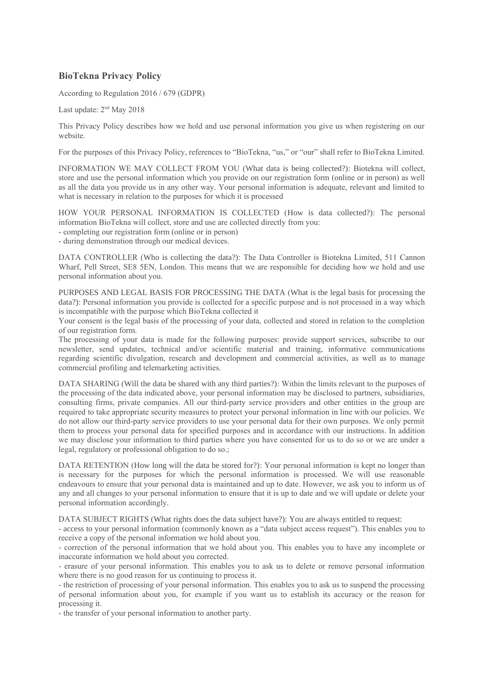## **BioTekna Privacy Policy**

According to Regulation 2016 / 679 (GDPR)

Last update: 2<sup>nd</sup> May 2018

This Privacy Policy describes how we hold and use personal information you give us when registering on our website.

For the purposes of this Privacy Policy, references to "BioTekna, "us," or "our" shall refer to BioTekna Limited.

INFORMATION WE MAY COLLECT FROM YOU (What data is being collected?): Biotekna will collect, store and use the personal information which you provide on our registration form (online or in person) as well as all the data you provide us in any other way. Your personal information is adequate, relevant and limited to what is necessary in relation to the purposes for which it is processed

HOW YOUR PERSONAL INFORMATION IS COLLECTED (How is data collected?): The personal information BioTekna will collect, store and use are collected directly from you:

- completing our registration form (online or in person)

- during demonstration through our medical devices.

DATA CONTROLLER (Who is collecting the data?): The Data Controller is Biotekna Limited, 511 Cannon Wharf, Pell Street, SE8 5EN, London. This means that we are responsible for deciding how we hold and use personal information about you.

PURPOSES AND LEGAL BASIS FOR PROCESSING THE DATA (What is the legal basis for processing the data?): Personal information you provide is collected for a specific purpose and is not processed in a way which is incompatible with the purpose which BioTekna collected it

Your consent is the legal basis of the processing of your data, collected and stored in relation to the completion of our registration form.

The processing of your data is made for the following purposes: provide support services, subscribe to our newsletter, send updates, technical and/or scientific material and training, informative communications regarding scientific divulgation, research and development and commercial activities, as well as to manage commercial profiling and telemarketing activities.

DATA SHARING (Will the data be shared with any third parties?): Within the limits relevant to the purposes of the processing of the data indicated above, your personal information may be disclosed to partners, subsidiaries, consulting firms, private companies. All our third-party service providers and other entities in the group are required to take appropriate security measures to protect your personal information in line with our policies. We do not allow our third-party service providers to use your personal data for their own purposes. We only permit them to process your personal data for specified purposes and in accordance with our instructions. In addition we may disclose your information to third parties where you have consented for us to do so or we are under a legal, regulatory or professional obligation to do so.;

DATA RETENTION (How long will the data be stored for?): Your personal information is kept no longer than is necessary for the purposes for which the personal information is processed. We will use reasonable endeavours to ensure that your personal data is maintained and up to date. However, we ask you to inform us of any and all changes to your personal information to ensure that it is up to date and we will update or delete your personal information accordingly.

DATA SUBJECT RIGHTS (What rights does the data subject have?): You are always entitled to request:

- access to your personal information (commonly known as a "data subject access request"). This enables you to receive a copy of the personal information we hold about you.

- correction of the personal information that we hold about you. This enables you to have any incomplete or inaccurate information we hold about you corrected.

- erasure of your personal information. This enables you to ask us to delete or remove personal information where there is no good reason for us continuing to process it.

- the restriction of processing of your personal information. This enables you to ask us to suspend the processing of personal information about you, for example if you want us to establish its accuracy or the reason for processing it.

- the transfer of your personal information to another party.